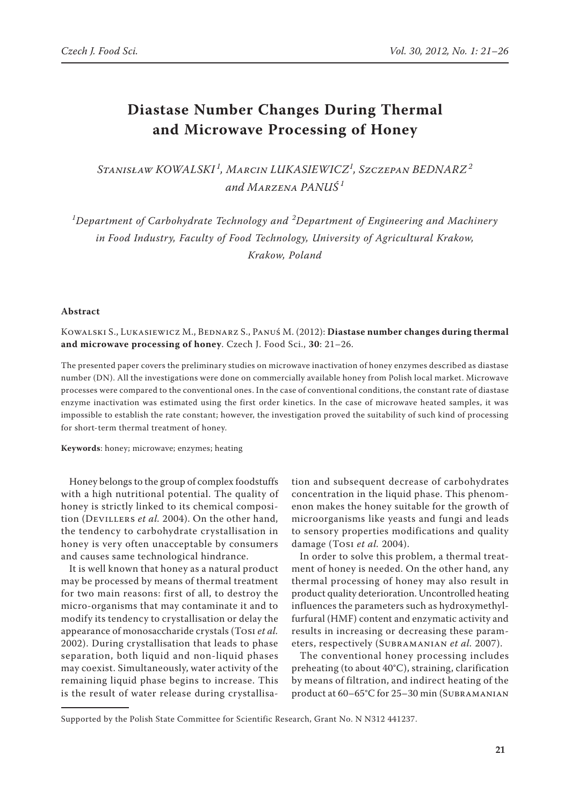# **Diastase Number Changes During Thermal and Microwave Processing of Honey**

*Stanisław Kowalski <sup>1</sup> , Marcin Lukasiewicz<sup>1</sup> , Szczepan Bednarz<sup>2</sup> and Marzena Panuś <sup>1</sup>*

*1 Department of Carbohydrate Technology and <sup>2</sup> Department of Engineering and Machinery in Food Industry, Faculty of Food Technology, University of Agricultural Krakow, Krakow, Poland*

#### **Abstract**

Kowalski S., Lukasiewicz M., Bednarz S., Panuś M. (2012): **Diastase number changes during thermal and microwave processing of honey**. Czech J. Food Sci., **30**: 21–26.

The presented paper covers the preliminary studies on microwave inactivation of honey enzymes described as diastase number (DN). All the investigations were done on commercially available honey from Polish local market. Microwave processes were compared to the conventional ones. In the case of conventional conditions, the constant rate of diastase enzyme inactivation was estimated using the first order kinetics. In the case of microwave heated samples, it was impossible to establish the rate constant; however, the investigation proved the suitability of such kind of processing for short-term thermal treatment of honey.

**Keywords**: honey; microwave; enzymes; heating

Honey belongs to the group of complex foodstuffs with a high nutritional potential. The quality of honey is strictly linked to its chemical composition (Devillers *et al.* 2004). On the other hand, the tendency to carbohydrate crystallisation in honey is very often unacceptable by consumers and causes same technological hindrance.

It is well known that honey as a natural product may be processed by means of thermal treatment for two main reasons: first of all, to destroy the micro-organisms that may contaminate it and to modify its tendency to crystallisation or delay the appearance of monosaccharide crystals (Tosi *et al.* 2002). During crystallisation that leads to phase separation, both liquid and non-liquid phases may coexist. Simultaneously, water activity of the remaining liquid phase begins to increase. This is the result of water release during crystallisation and subsequent decrease of carbohydrates concentration in the liquid phase. This phenomenon makes the honey suitable for the growth of microorganisms like yeasts and fungi and leads to sensory properties modifications and quality damage (Tosi *et al.* 2004).

In order to solve this problem, a thermal treatment of honey is needed. On the other hand, any thermal processing of honey may also result in product quality deterioration. Uncontrolled heating influences the parameters such as hydroxymethylfurfural (HMF) content and enzymatic activity and results in increasing or decreasing these parameters, respectively (Subramanian *et al.* 2007).

The conventional honey processing includes preheating (to about 40°C), straining, clarification by means of filtration, and indirect heating of the product at 60–65°C for 25–30 min (Subramanian

Supported by the Polish State Committee for Scientific Research, Grant No. N N312 441237.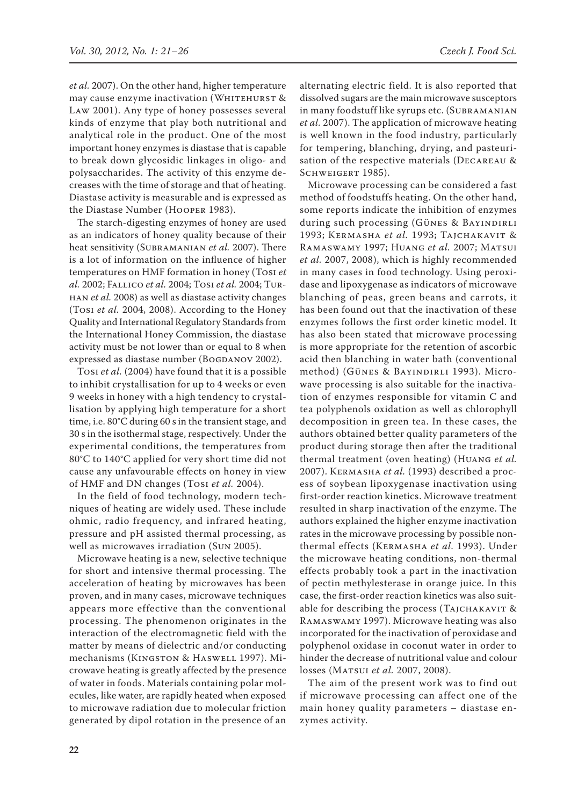*et al.* 2007). On the other hand, higher temperature may cause enzyme inactivation (WHITEHURST & Law 2001). Any type of honey possesses several kinds of enzyme that play both nutritional and analytical role in the product. One of the most important honey enzymes is diastase that is capable to break down glycosidic linkages in oligo- and polysaccharides. The activity of this enzyme decreases with the time of storage and that of heating. Diastase activity is measurable and is expressed as the Diastase Number (Hooper 1983).

The starch-digesting enzymes of honey are used as an indicators of honey quality because of their heat sensitivity (Subramanian *et al.* 2007). There is a lot of information on the influence of higher temperatures on HMF formation in honey (Tosi *et al.* 2002; Fallico *et al.* 2004; Tosi *et al.* 2004; Turhan *et al.* 2008) as well as diastase activity changes (Tosi *et al.* 2004, 2008). According to the Honey Quality and International Regulatory Standards from the International Honey Commission, the diastase activity must be not lower than or equal to 8 when expressed as diastase number (BOGDANOV 2002).

Tosi *et al.* (2004) have found that it is a possible to inhibit crystallisation for up to 4 weeks or even 9 weeks in honey with a high tendency to crystallisation by applying high temperature for a short time, i.e. 80°C during 60 s in the transient stage, and 30 s in the isothermal stage, respectively. Under the experimental conditions, the temperatures from 80°C to 140°C applied for very short time did not cause any unfavourable effects on honey in view of HMF and DN changes (Tosi *et al.* 2004).

In the field of food technology, modern techniques of heating are widely used. These include ohmic, radio frequency, and infrared heating, pressure and pH assisted thermal processing, as well as microwaves irradiation (Sun 2005).

Microwave heating is a new, selective technique for short and intensive thermal processing. The acceleration of heating by microwaves has been proven, and in many cases, microwave techniques appears more effective than the conventional processing. The phenomenon originates in the interaction of the electromagnetic field with the matter by means of dielectric and/or conducting mechanisms (Kingston & Haswell 1997). Microwave heating is greatly affected by the presence of water in foods. Materials containing polar molecules, like water, are rapidly heated when exposed to microwave radiation due to molecular friction generated by dipol rotation in the presence of an alternating electric field. It is also reported that dissolved sugars are the main microwave susceptors in many foodstuff like syrups etc. (Subramanian *et al.* 2007). The application of microwave heating is well known in the food industry, particularly for tempering, blanching, drying, and pasteurisation of the respective materials (Decareau & SCHWEIGERT 1985).

Microwave processing can be considered a fast method of foodstuffs heating. On the other hand, some reports indicate the inhibition of enzymes during such processing (GÜNES & BAYINDIRLI 1993; Kermasha *et al.* 1993; Tajchakavit & RAMASWAMY 1997; HUANG *et al.* 2007; MATSUI *et al.* 2007, 2008), which is highly recommended in many cases in food technology. Using peroxidase and lipoxygenase as indicators of microwave blanching of peas, green beans and carrots, it has been found out that the inactivation of these enzymes follows the first order kinetic model. It has also been stated that microwave processing is more appropriate for the retention of ascorbic acid then blanching in water bath (conventional method) (GÜNES & BAYINDIRLI 1993). Microwave processing is also suitable for the inactivation of enzymes responsible for vitamin C and tea polyphenols oxidation as well as chlorophyll decomposition in green tea. In these cases, the authors obtained better quality parameters of the product during storage then after the traditional thermal treatment (oven heating) (Huang *et al.* 2007). Kermasha *et al.* (1993) described a process of soybean lipoxygenase inactivation using first-order reaction kinetics. Microwave treatment resulted in sharp inactivation of the enzyme. The authors explained the higher enzyme inactivation rates in the microwave processing by possible nonthermal effects (Kermasha *et al.* 1993). Under the microwave heating conditions, non-thermal effects probably took a part in the inactivation of pectin methylesterase in orange juice. In this case, the first-order reaction kinetics was also suitable for describing the process (TAJCHAKAVIT & Ramaswamy 1997). Microwave heating was also incorporated for the inactivation of peroxidase and polyphenol oxidase in coconut water in order to hinder the decrease of nutritional value and colour losses (Matsui *et al.* 2007, 2008).

The aim of the present work was to find out if microwave processing can affect one of the main honey quality parameters – diastase enzymes activity.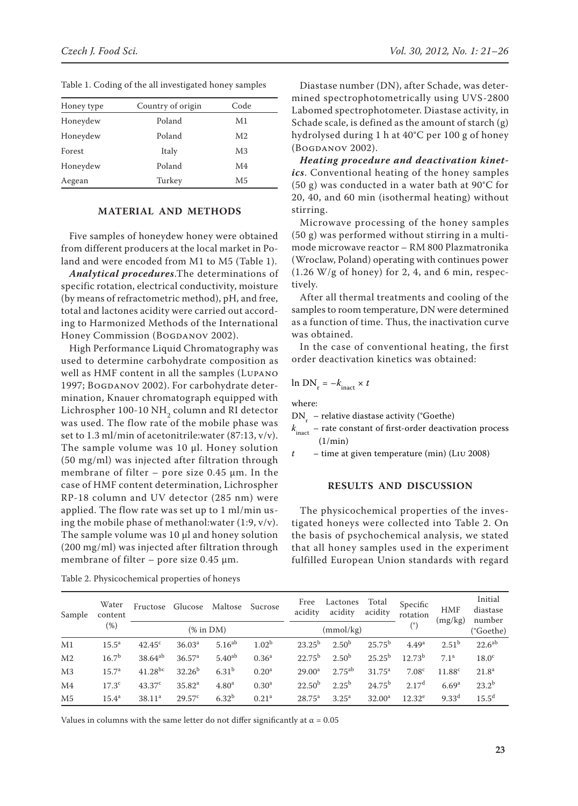| Honey type | Country of origin | Code           |  |  |
|------------|-------------------|----------------|--|--|
| Honeydew   | Poland            | M1             |  |  |
| Honeydew   | Poland            | M <sub>2</sub> |  |  |
| Forest     | Italy             | M <sub>3</sub> |  |  |
| Honeydew   | Poland            | M4             |  |  |
| Aegean     | Turkey            | M5             |  |  |

Table 1. Coding of the all investigated honey samples

## **Material and Methods**

Five samples of honeydew honey were obtained from different producers at the local market in Poland and were encoded from M1 to M5 (Table 1).

*Analytical procedures*.The determinations of specific rotation, electrical conductivity, moisture (by means of refractometric method), pH, and free, total and lactones acidity were carried out according to Harmonized Methods of the International Honey Commission (BOGDANOV 2002).

High Performance Liquid Chromatography was used to determine carbohydrate composition as well as HMF content in all the samples (Lupano 1997; BOGDANOV 2002). For carbohydrate determination, Knauer chromatograph equipped with Lichrospher 100-10 NH<sub>2</sub> column and RI detector was used. The flow rate of the mobile phase was set to 1.3 ml/min of acetonitrile:water (87:13, v/v). The sample volume was 10 µl. Honey solution (50 mg/ml) was injected after filtration through membrane of filter – pore size  $0.45 \mu$ m. In the case of HMF content determination, Lichrospher RP-18 column and UV detector (285 nm) were applied. The flow rate was set up to 1 ml/min using the mobile phase of methanol:water (1:9, v/v). The sample volume was 10 µl and honey solution (200 mg/ml) was injected after filtration through membrane of filter – pore size  $0.45 \mu m$ .

Table 2. Physicochemical properties of honeys

Diastase number (DN), after Schade, was determined spectrophotometrically using UVS-2800 Labomed spectrophotometer. Diastase activity, in Schade scale, is defined as the amount of starch (g) hydrolysed during 1 h at 40°C per 100 g of honey (Bogdanov 2002).

*Heating procedure and deactivation kinetics*. Conventional heating of the honey samples (50 g) was conducted in a water bath at 90°C for 20, 40, and 60 min (isothermal heating) without stirring.

Microwave processing of the honey samples (50 g) was performed without stirring in a multimode microwave reactor – RM 800 Plazmatronika (Wroclaw, Poland) operating with continues power (1.26 W/g of honey) for 2, 4, and 6 min, respectively.

After all thermal treatments and cooling of the samples to room temperature, DN were determined as a function of time. Thus, the inactivation curve was obtained.

In the case of conventional heating, the first order deactivation kinetics was obtained:

$$
\ln \text{DN}_{\text{r}} = -k_{\text{inact}} \times t
$$

where:

 $DN_{r}$  – relative diastase activity (°Goethe)

 $k_{\text{inact}}$  – rate constant of first-order deactivation process  $(1/\text{min})$ 

*t* – time at given temperature (min) (Liu 2008)

## **Results and Discussion**

The physicochemical properties of the investigated honeys were collected into Table 2. On the basis of psychochemical analysis, we stated that all honey samples used in the experiment fulfilled European Union standards with regard

| Sample         | Water<br>content<br>(%) | Fructose           | Glucose            | Maltose           | Sucrose           | Free<br>acidity    | Lactones<br>acidity | Total<br>acidity   | Specific<br>rotation | <b>HMF</b><br>(mg/kg) | Initial<br>diastase<br>number |
|----------------|-------------------------|--------------------|--------------------|-------------------|-------------------|--------------------|---------------------|--------------------|----------------------|-----------------------|-------------------------------|
|                |                         | $%$ in DM $)$      |                    |                   |                   |                    | (mmol/kg)           |                    | (٥                   |                       | (°Goethe)                     |
| M1             | $15.5^{\rm a}$          | $42.45^{\circ}$    | 36.03 <sup>a</sup> | $5.16^{ab}$       | 1.02 <sup>b</sup> | $23.25^{b}$        | $2.50^{b}$          | $25.75^{\rm b}$    | 4.49 <sup>a</sup>    | 2.51 <sup>b</sup>     | $22.6^{ab}$                   |
| M <sub>2</sub> | 16.7 <sup>b</sup>       | $38.64^{ab}$       | 36.57 <sup>a</sup> | $5.40^{ab}$       | $0.36^{\rm a}$    | $22.75^{\rm b}$    | $2.50^{b}$          | $25.25^{b}$        | $12.73^{b}$          | 7.1 <sup>a</sup>      | 18.0 <sup>c</sup>             |
| M <sub>3</sub> | 15.7 <sup>a</sup>       | $41.28^{bc}$       | $32.26^{b}$        | 6.31 <sup>b</sup> | 0.20 <sup>a</sup> | 29.00 <sup>a</sup> | $2.75^{ab}$         | $31.75^a$          | 7.08 <sup>c</sup>    | $11.88^{c}$           | 21.8 <sup>a</sup>             |
| M4             | 17.3 <sup>c</sup>       | 43.37 <sup>c</sup> | 35.82 <sup>a</sup> | 4.80 <sup>a</sup> | 0.30 <sup>a</sup> | $22.50^{b}$        | $2.25^{\rm b}$      | $24.75^{b}$        | 2.17 <sup>d</sup>    | 6.69 <sup>a</sup>     | $23.2^{b}$                    |
| M <sub>5</sub> | $15.4^{\rm a}$          | 38.11 <sup>a</sup> | $29.57^{\circ}$    | $6.32^{b}$        | 0.21 <sup>a</sup> | $28.75^{\circ}$    | $3.25^{\rm a}$      | 32.00 <sup>a</sup> | $12.32^e$            | $9.33^{d}$            | $15.5^{\rm d}$                |

Values in columns with the same letter do not differ significantly at  $\alpha = 0.05$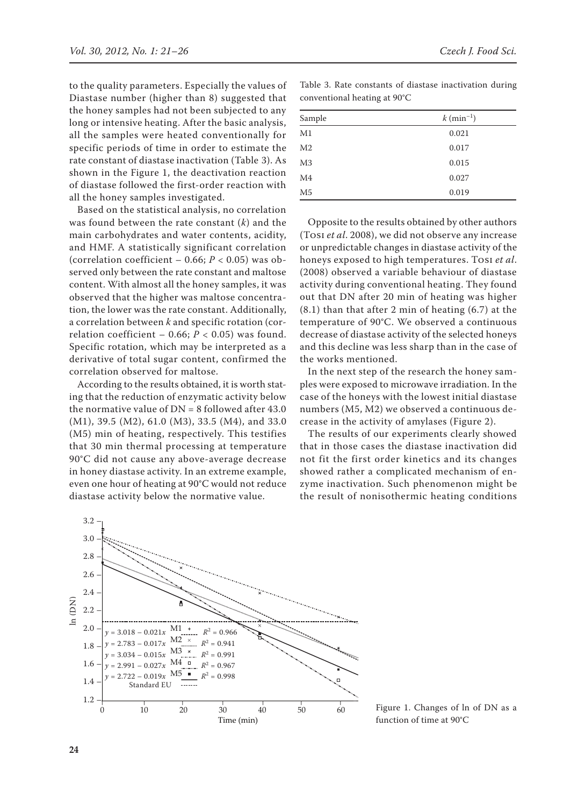to the quality parameters. Especially the values of Diastase number (higher than 8) suggested that the honey samples had not been subjected to any long or intensive heating. After the basic analysis, all the samples were heated conventionally for specific periods of time in order to estimate the rate constant of diastase inactivation (Table 3). As shown in the Figure 1, the deactivation reaction of diastase followed the first-order reaction with all the honey samples investigated.

Based on the statistical analysis, no correlation was found between the rate constant (*k*) and the main carbohydrates and water contents, acidity, and HMF. A statistically significant correlation (correlation coefficient – 0.66;  $P < 0.05$ ) was observed only between the rate constant and maltose content. With almost all the honey samples, it was observed that the higher was maltose concentration, the lower was the rate constant. Additionally, a correlation between *k* and specific rotation (correlation coefficient – 0.66;  $P < 0.05$ ) was found. Specific rotation, which may be interpreted as a derivative of total sugar content, confirmed the correlation observed for maltose.

According to the results obtained, it is worth stating that the reduction of enzymatic activity below the normative value of  $DN = 8$  followed after 43.0 (M1), 39.5 (M2), 61.0 (M3), 33.5 (M4), and 33.0 (M5) min of heating, respectively. This testifies that 30 min thermal processing at temperature 90°C did not cause any above-average decrease in honey diastase activity. In an extreme example, even one hour of heating at 90°C would not reduce diastase activity below the normative value.

Table 3. Rate constants of diastase inactivation during conventional heating at 90°C

| Sample         | $k \text{ (min}^{-1})$ |
|----------------|------------------------|
| M1             | 0.021                  |
| M <sub>2</sub> | 0.017                  |
| M3             | 0.015                  |
| M4             | 0.027                  |
| M5             | 0.019                  |

Opposite to the results obtained by other authors (Tosi *et al*. 2008), we did not observe any increase or unpredictable changes in diastase activity of the honeys exposed to high temperatures. Tosi *et al*. (2008) observed a variable behaviour of diastase activity during conventional heating. They found out that DN after 20 min of heating was higher (8.1) than that after 2 min of heating (6.7) at the temperature of 90°C. We observed a continuous decrease of diastase activity of the selected honeys and this decline was less sharp than in the case of the works mentioned.

In the next step of the research the honey samples were exposed to microwave irradiation. In the case of the honeys with the lowest initial diastase numbers (M5, M2) we observed a continuous decrease in the activity of amylases (Figure 2).

The results of our experiments clearly showed that in those cases the diastase inactivation did not fit the first order kinetics and its changes showed rather a complicated mechanism of enzyme inactivation. Such phenomenon might be the result of nonisothermic heating conditions



Figure 1. Changes of ln of DN as a function of time at 90°C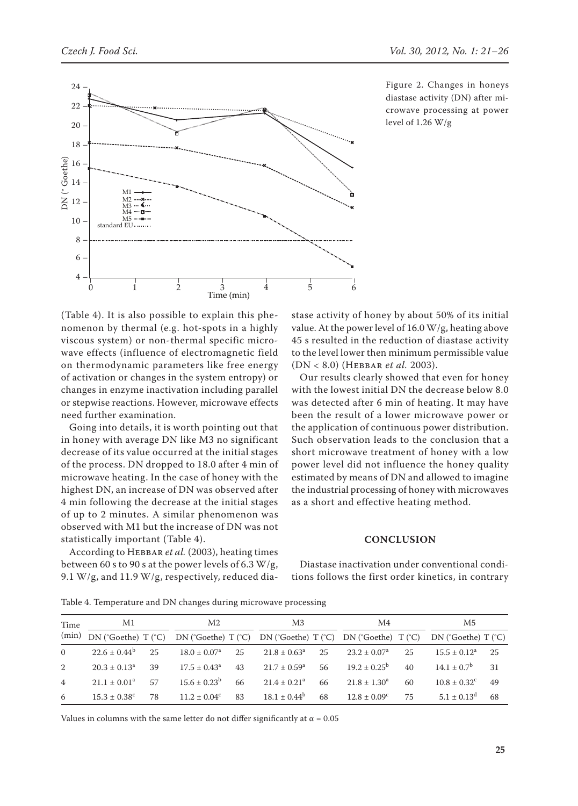

Figure 2. Changes in honeys diastase activity (DN) after microwave processing at power level of 1.26 W/g

(Table 4). It is also possible to explain this phenomenon by thermal (e.g. hot-spots in a highly viscous system) or non-thermal specific microwave effects (influence of electromagnetic field on thermodynamic parameters like free energy of activation or changes in the system entropy) or changes in enzyme inactivation including parallel or stepwise reactions. However, microwave effects need further examination.

Going into details, it is worth pointing out that in honey with average DN like M3 no significant decrease of its value occurred at the initial stages of the process. DN dropped to 18.0 after 4 min of microwave heating. In the case of honey with the highest DN, an increase of DN was observed after 4 min following the decrease at the initial stages of up to 2 minutes. A similar phenomenon was observed with M1 but the increase of DN was not statistically important (Table 4).

According to Hebbar *et al.* (2003), heating times between 60 s to 90 s at the power levels of 6.3 W/g, 9.1 W/g, and 11.9 W/g, respectively, reduced diastase activity of honey by about 50% of its initial value. At the power level of 16.0 W/g, heating above 45 s resulted in the reduction of diastase activity to the level lower then minimum permissible value (DN < 8.0) (Hebbar *et al.* 2003).

Our results clearly showed that even for honey with the lowest initial DN the decrease below 8.0 was detected after 6 min of heating. It may have been the result of a lower microwave power or the application of continuous power distribution. Such observation leads to the conclusion that a short microwave treatment of honey with a low power level did not influence the honey quality estimated by means of DN and allowed to imagine the industrial processing of honey with microwaves as a short and effective heating method.

#### **Conclusion**

Diastase inactivation under conventional conditions follows the first order kinetics, in contrary

Table 4. Temperature and DN changes during microwave processing

| Time<br>(min)  | M1                                          |    | M2                                                                      |    | M <sub>3</sub>               |    | M4                      |    | М5                      |    |
|----------------|---------------------------------------------|----|-------------------------------------------------------------------------|----|------------------------------|----|-------------------------|----|-------------------------|----|
|                | $DN$ ( $^{\circ}$ Goethe) T ( $^{\circ}$ C) |    | $DN$ (°Goethe) $T$ (°C) $DN$ (°Goethe) $T$ (°C) $DN$ (°Goethe) $T$ (°C) |    |                              |    |                         |    | $DN$ (°Goethe) T (°C)   |    |
| $\Omega$       | $22.6 \pm 0.44^b$                           | 25 | $18.0 \pm 0.07^{\rm a}$                                                 | 25 | $21.8 \pm 0.63^{\circ}$      | 25 | $23.2 \pm 0.07^{\circ}$ | 25 | $15.5 + 0.12^a$         | 25 |
| 2              | $20.3 \pm 0.13^a$                           | 39 | $17.5 \pm 0.43^{\circ}$                                                 | 43 | $21.7 \pm 0.59^{\circ}$      | 56 | $19.2 \pm 0.25^{\circ}$ | 40 | $14.1 + 0.7^b$          | 31 |
| $\overline{4}$ | $21.1 \pm 0.01^a$                           | 57 | $15.6 \pm 0.23^b$                                                       | 66 | $21.4 \pm 0.21$ <sup>a</sup> | 66 | $21.8 \pm 1.30^a$       | 60 | $10.8 \pm 0.32^{\circ}$ | 49 |
| 6              | $15.3 \pm 0.38^{\circ}$                     | 78 | $11.2 + 0.04^c$                                                         | 83 | $18.1 \pm 0.44^b$            | 68 | $12.8 \pm 0.09^{\circ}$ | 75 | $5.1 \pm 0.13^d$        | 68 |

Values in columns with the same letter do not differ significantly at  $\alpha = 0.05$